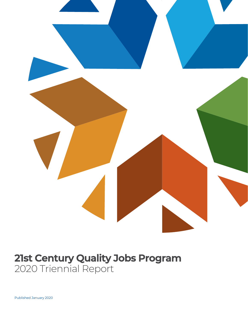

# **21st Century Quality Jobs Program** 2020 Triennial Report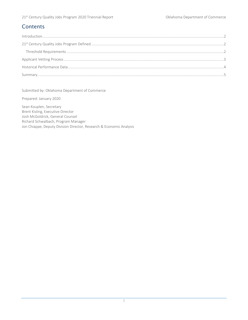## **Contents**

Submitted by: Oklahoma Department of Commerce

Prepared: January 2020

Sean Kouplen, Secretary Brent Kisling, Executive Director Josh McGoldrick, General Counsel Richard Schwalbach, Program Manager Jon Chiappe, Deputy Division Director, Research & Economic Analysis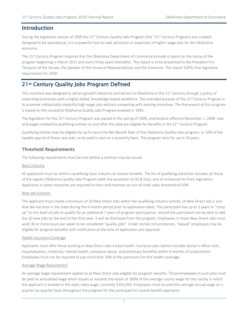## <span id="page-2-0"></span>Introduction

During the legislative session of 2009 the 21<sup>st</sup> Century Quality Jobs Program (the "21<sup>st</sup> Century Program) was created. Designed to be aspirational, it is a powerful tool to seek attraction or expansion of higher wage jobs for the Oklahoma economy.

The 21<sup>st</sup> Century Program requires that the Oklahoma Department of Commerce provide a report on the status of the program beginning in March 2011 and every three years thereafter. The report is to be presented to the President Pro Tempore of the Senate, the Speaker of the House of Representatives and the Governor. This report fulfills that legislative requirement for 2020.

## <span id="page-2-1"></span>21st Century Quality Jobs Program Defined

This incentive was designed to attract growth industries and sectors to Oklahoma in the 21<sup>st</sup> Century through a policy of rewarding businesses with a highly skilled, knowledge-based workforce. The intended purpose of the 21<sup>st</sup> Century Program is to promote indisputably impactful high wage jobs without competing with existing incentives. The framework of this program is based on the successful Oklahoma Quality Jobs Program enacted in 1993.

The legislation for the  $21^{st}$  Century Program was passed in the spring of 2009, and became effective November 1, 2009. Jobs and wages created by qualifying entities on and after this date are eligible for benefits in the 21st Century Program.

Qualifying entities may be eligible for up to twice the Net Benefit Rate of the Oklahoma Quality Jobs program, or 10% of the taxable payroll of these new jobs, to be paid in cash on a quarterly basis. The program lasts for up to 10 years.

### <span id="page-2-2"></span>Threshold Requirements

The following requirements must be met before a contract may be issued:

#### Basic Industry

All applicants must be within a qualifying basic industry to receive benefits. The list of qualifying industries includes all those of the regular Oklahoma Quality Jobs Program (with the exception of Oil & Gas), and an enhanced list from legislation. Applicants in some industries are required to have and maintain an out-of-state sales threshold of 50%.

#### New Job Creation

The applicant must create a minimum of 10 New Direct Jobs within the qualifying industry activity. (A New Direct Job is one that did not exist in the state during the 6-month period prior to application date). The participant has up to 3 years to "ramp up" to this level of jobs to qualify for an additional 7 years of program participation. Should the participant not be able to add the 10 new jobs by the end of the third year, it will be dismissed from the program. Employees in these New Direct Jobs must work 30 or more hours per week to be considered "quality jobs". Under certain circumstances, "leased" employees may be eligible for program benefits with notification at the time of application and approval.

#### Health Insurance Coverage

Applicants must offer those working in New Direct Jobs a basic health insurance plan (which includes doctor's office visits, hospitalization, maternity, mental health, substance abuse, and pharmacy benefits) within 6 months of employment. Employees must not be required to pay more than 50% of the premiums for this health coverage.

#### Average Wage Requirement

An average wage requirement applies to all New Direct Jobs eligible for program benefits. Those employees in such jobs must be paid an annualized wage which equals or exceeds the lesser of 300% of the average county wage for the county in which the applicant is located or the state index wage, currently \$101,650. Employees must be paid this average annual wage on a quarter-by-quarter basis throughout the program for the participant to receive benefit payments.

2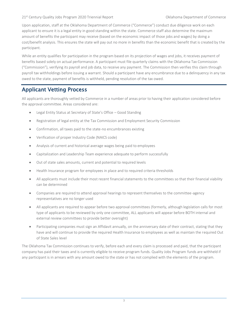#### 21st Century Quality Jobs Program 2020 Triennial Report Commerce Commerce Oklahoma Department of Commerce

Upon application, staff at the Oklahoma Department of Commerce ("Commerce") conduct due diligence work on each applicant to ensure it is a legal entity in good standing within the state. Commerce staff also determine the maximum amount of benefits the participant may receive (based on the economic impact of those jobs and wages) by doing a cost/benefit analysis. This ensures the state will pay out no more in benefits than the economic benefit that is created by the participant.

While an entity qualifies for participation in the program based on its projection of wages and jobs, it receives payment of benefits based solely on actual performance. A participant must file quarterly claims with the Oklahoma Tax Commission ("Commission"), verifying its payroll and job data, to receive any payment. The Commission then verifies this claim through payroll tax withholdings before issuing a warrant. Should a participant have any encumbrance due to a delinquency in any tax owed to the state, payment of benefits is withheld, pending resolution of the tax owed.

## <span id="page-3-0"></span>Applicant Vetting Process

All applicants are thoroughly vetted by Commerce in a number of areas prior to having their application considered before the approval committee. Areas considered are:

- Legal Entity Status at Secretary of State's Office Good Standing
- Registration of legal entity at the Tax Commission and Employment Security Commission
- Confirmation, all taxes paid to the state-no encumbrances existing
- Verification of proper Industry Code (NAICS code)
- Analysis of current and historical average wages being paid to employees
- Capitalization and Leadership Team experience adequate to perform successfully
- Out of state sales amounts, current and potential to required levels
- Health Insurance program for employees in place and to required criteria thresholds
- All applicants must include their most recent financial statements to the committees so that their financial viability can be determined
- Companies are required to attend approval hearings to represent themselves to the committee-agency representatives are no longer used
- All applicants are required to appear before two approval committees (formerly, although legislation calls for most type of applicants to be reviewed by only one committee, ALL applicants will appear before BOTH internal and external review committees to provide better oversight)
- Participating companies must sign an Affidavit annually, on the anniversary date of their contract, stating that they have and will continue to provide the required Health Insurance to employees as well as maintain the required Out of State Sales level

The Oklahoma Tax Commission continues to verify, before each and every claim is processed and paid, that the participant company has paid their taxes and is currently eligible to receive program funds. Quality Jobs Program funds are withheld if any participant is in arrears with any amount owed to the state or has not complied with the elements of the program.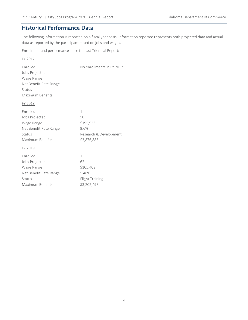## <span id="page-4-0"></span>Historical Performance Data

The following information is reported on a fiscal year basis. Information reported represents both projected data and actual data as reported by the participant based on jobs and wages.

Enrollment and performance since the last Triennial Report:

| FY 2017                |                           |
|------------------------|---------------------------|
| Enrolled               | No enrollments in FY 2017 |
| Jobs Projected         |                           |
| Wage Range             |                           |
| Net Benefit Rate Range |                           |
| Status                 |                           |
| Maximum Benefits       |                           |
| FY 2018                |                           |
| Enrolled               | 1                         |
| Jobs Projected         | 50                        |
| Wage Range             | \$195,926                 |
| Net Benefit Rate Range | 9.6%                      |
| Status                 | Research & Development    |
| Maximum Benefits       | \$3,876,886               |
| FY 2019                |                           |
| Enrolled               | 1                         |
| Jobs Projected         | 62                        |

Wage Range **\$105,409** Net Benefit Rate Range 5.48%

Status Flight Training Maximum Benefits \$3,202,495